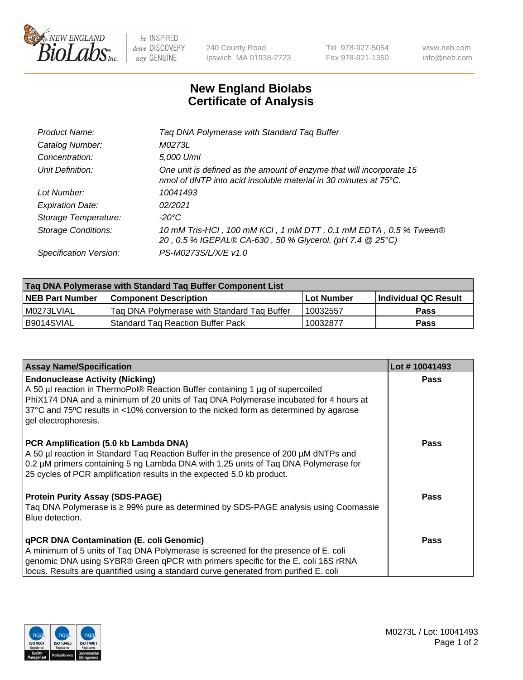

 $be$  INSPIRED drive DISCOVERY stay GENUINE

240 County Road Ipswich, MA 01938-2723 Tel 978-927-5054 Fax 978-921-1350 www.neb.com info@neb.com

## **New England Biolabs Certificate of Analysis**

| Product Name:              | Tag DNA Polymerase with Standard Tag Buffer                                                                                              |
|----------------------------|------------------------------------------------------------------------------------------------------------------------------------------|
| Catalog Number:            | M0273L                                                                                                                                   |
| Concentration:             | 5,000 U/ml                                                                                                                               |
| Unit Definition:           | One unit is defined as the amount of enzyme that will incorporate 15<br>nmol of dNTP into acid insoluble material in 30 minutes at 75°C. |
| Lot Number:                | 10041493                                                                                                                                 |
| <b>Expiration Date:</b>    | 02/2021                                                                                                                                  |
| Storage Temperature:       | $-20^{\circ}$ C                                                                                                                          |
| <b>Storage Conditions:</b> | 10 mM Tris-HCl, 100 mM KCl, 1 mM DTT, 0.1 mM EDTA, 0.5 % Tween®<br>20, 0.5 % IGEPAL® CA-630, 50 % Glycerol, (pH 7.4 @ 25°C)              |
| Specification Version:     | PS-M0273S/L/X/E v1.0                                                                                                                     |
|                            |                                                                                                                                          |

| Taq DNA Polymerase with Standard Taq Buffer Component List |                                             |                   |                      |  |
|------------------------------------------------------------|---------------------------------------------|-------------------|----------------------|--|
| <b>NEB Part Number</b>                                     | Component Description_                      | <b>Lot Number</b> | Individual QC Result |  |
| I M0273LVIAL                                               | Tag DNA Polymerase with Standard Tag Buffer | 10032557          | <b>Pass</b>          |  |
| B9014SVIAL                                                 | Standard Tag Reaction Buffer Pack           | 10032877          | Pass                 |  |

| <b>Assay Name/Specification</b>                                                                                                                                                                                                                                                                                                 | Lot #10041493 |
|---------------------------------------------------------------------------------------------------------------------------------------------------------------------------------------------------------------------------------------------------------------------------------------------------------------------------------|---------------|
| <b>Endonuclease Activity (Nicking)</b><br>A 50 µl reaction in ThermoPol® Reaction Buffer containing 1 µg of supercoiled<br>PhiX174 DNA and a minimum of 20 units of Taq DNA Polymerase incubated for 4 hours at<br>37°C and 75°C results in <10% conversion to the nicked form as determined by agarose<br>gel electrophoresis. | <b>Pass</b>   |
| PCR Amplification (5.0 kb Lambda DNA)<br>A 50 µl reaction in Standard Tag Reaction Buffer in the presence of 200 µM dNTPs and<br>0.2 µM primers containing 5 ng Lambda DNA with 1.25 units of Tag DNA Polymerase for<br>25 cycles of PCR amplification results in the expected 5.0 kb product.                                  | Pass          |
| <b>Protein Purity Assay (SDS-PAGE)</b><br>Taq DNA Polymerase is ≥ 99% pure as determined by SDS-PAGE analysis using Coomassie<br>Blue detection.                                                                                                                                                                                | Pass          |
| qPCR DNA Contamination (E. coli Genomic)<br>A minimum of 5 units of Taq DNA Polymerase is screened for the presence of E. coli<br>genomic DNA using SYBR® Green qPCR with primers specific for the E. coli 16S rRNA<br>locus. Results are quantified using a standard curve generated from purified E. coli                     | <b>Pass</b>   |